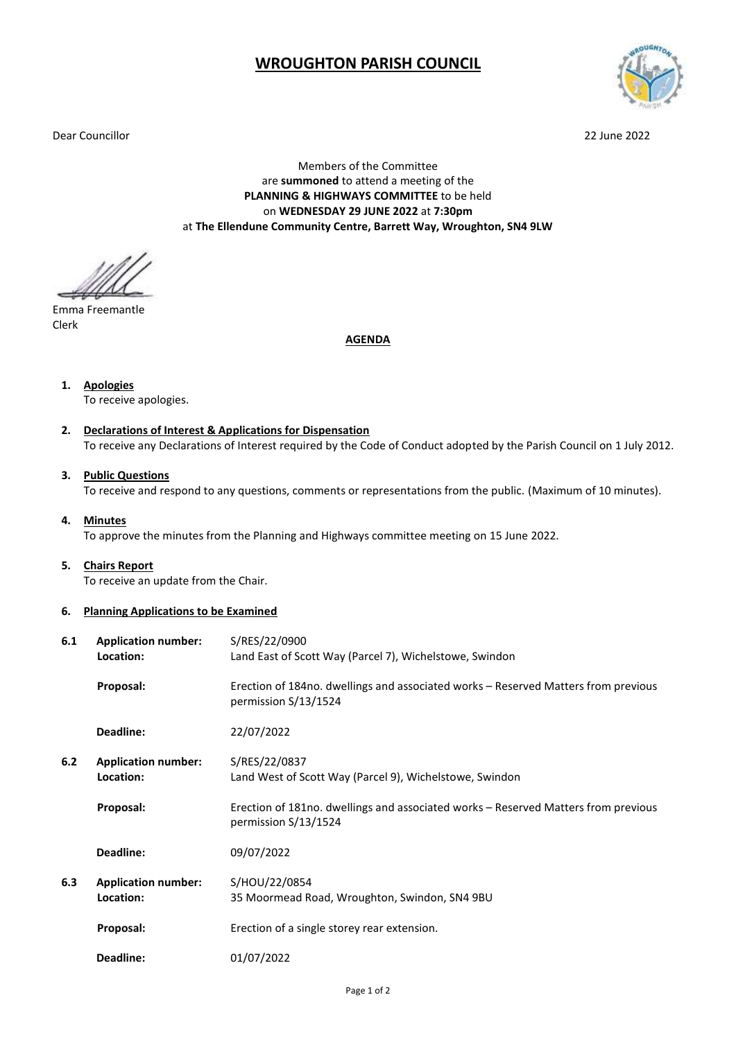## **WROUGHTON PARISH COUNCIL**

Dear Councillor 22 June 2022



Members of the Committee are **summoned** to attend a meeting of the **PLANNING & HIGHWAYS COMMITTEE** to be held on **WEDNESDAY 29 JUNE 2022** at **7:30pm** at **The Ellendune Community Centre, Barrett Way, Wroughton, SN4 9LW**

Emma Freemantle Clerk

**AGENDA**

**1. Apologies**

To receive apologies.

- **2. Declarations of Interest & Applications for Dispensation** To receive any Declarations of Interest required by the Code of Conduct adopted by the Parish Council on 1 July 2012.
- **3. Public Questions** To receive and respond to any questions, comments or representations from the public. (Maximum of 10 minutes).
- **4. Minutes**

To approve the minutes from the Planning and Highways committee meeting on 15 June 2022.

**5. Chairs Report**

To receive an update from the Chair.

**6. Planning Applications to be Examined**

| 6.1 | <b>Application number:</b><br>Location: | S/RES/22/0900<br>Land East of Scott Way (Parcel 7), Wichelstowe, Swindon                                   |
|-----|-----------------------------------------|------------------------------------------------------------------------------------------------------------|
|     | Proposal:                               | Erection of 184no. dwellings and associated works – Reserved Matters from previous<br>permission S/13/1524 |
|     | Deadline:                               | 22/07/2022                                                                                                 |
| 6.2 | <b>Application number:</b><br>Location: | S/RES/22/0837<br>Land West of Scott Way (Parcel 9), Wichelstowe, Swindon                                   |
|     | Proposal:                               | Erection of 181no. dwellings and associated works – Reserved Matters from previous<br>permission S/13/1524 |
|     | Deadline:                               | 09/07/2022                                                                                                 |
| 6.3 | <b>Application number:</b><br>Location: | S/HOU/22/0854<br>35 Moormead Road, Wroughton, Swindon, SN4 9BU                                             |
|     | Proposal:                               | Erection of a single storey rear extension.                                                                |
|     | Deadline:                               | 01/07/2022                                                                                                 |